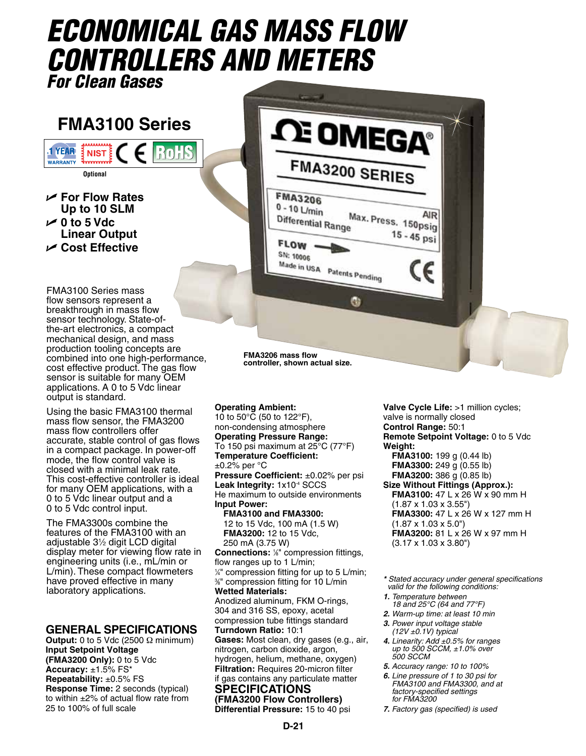# *Economical GAS Mass Flow Controllers and Meters For Clean Gases*

## **FMA3100 Series**

 $\left( 0 \right)$ 

**NIST Optional**

**1 YEAR** 

**WARRANTY** 

U **For Flow Rates Up to 10 SLM** U **0 to 5 Vdc Linear Output** U **Cost Effective**



FMA3100 Series mass flow sensors represent a breakthrough in mass flow sensor technology. State-ofthe-art electronics, a compact mechanical design, and mass production tooling concepts are combined into one high-performance, cost effective product. The gas flow sensor is suitable for many OEM applications. A 0 to 5 Vdc linear output is standard.

Using the basic FMA3100 thermal mass flow sensor, the FMA3200 mass flow controllers offer accurate, stable control of gas flows in a compact package. In power-off mode, the flow control valve is closed with a minimal leak rate. This cost-effective controller is ideal for many OEM applications, with a 0 to 5 Vdc linear output and a 0 to 5 Vdc control input.

The FMA3300s combine the features of the FMA3100 with an adjustable 31 ⁄2 digit LCD digital display meter for viewing flow rate in engineering units (i.e., mL/min or L/min). These compact flowmeters have proved effective in many laboratory applications.

#### **GENERAL Specifications**

**Output:** 0 to 5 Vdc (2500 Ω minimum) **Input Setpoint Voltage (FMA3200 Only):** 0 to 5 Vdc **Accuracy:** ±1.5% FS\* **Repeatability:** ±0.5% FS **Response Time:** 2 seconds (typical) to within ±2% of actual flow rate from 25 to 100% of full scale

**controller, shown actual size.**

**Operating Ambient:** 10 to 50 $^{\circ}$ C (50 to 122 $^{\circ}$ F), non-condensing atmosphere **Operating Pressure Range:** To 150 psi maximum at 25°C (77°F) **Temperature Coefficient:** ±0.2% per °C **Pressure Coefficient:** ±0.02% per psi **Leak Integrity:** 1x10-4 SCCS He maximum to outside environments **Input Power: FMA3100 and FMA3300:** 12 to 15 Vdc, 100 mA (1.5 W) **FMA3200:** 12 to 15 Vdc, 250 mA (3.75 W) **Connections:** <sup>1/8</sup>" compression fittings, flow ranges up to 1 L/min; 1 ⁄4" compression fitting for up to 5 L/min; 3 ⁄8" compression fitting for 10 L/min **Wetted Materials:**  Anodized aluminum, FKM O-rings, 304 and 316 SS, epoxy, acetal compression tube fittings standard **Turndown Ratio:** 10:1 **Gases:** Most clean, dry gases (e.g., air, nitrogen, carbon dioxide, argon, hydrogen, helium, methane, oxygen) **Filtration:** Requires 20-micron filter if gas contains any particulate matter

#### **Specifications (FMA3200 Flow Controllers)**

**Differential Pressure:** 15 to 40 psi

**Valve Cycle Life:** >1 million cycles; valve is normally closed **Control Range:** 50:1 **Remote Setpoint Voltage:** 0 to 5 Vdc **Weight: FMA3100:** 199 g (0.44 lb) **FMA3300:** 249 g (0.55 lb) **FMA3200:** 386 g (0.85 lb) **Size Without Fittings (Approx.): FMA3100:** 47 L x 26 W x 90 mm H (1.87 x 1.03 x 3.55") **FMA3300:** 47 L x 26 W x 127 mm H (1.87 x 1.03 x 5.0") **FMA3200:** 81 L x 26 W x 97 mm H (3.17 x 1.03 x 3.80")

*\* Stated accuracy under general specifications valid for the following conditions:*

- *1. Temperature between 18 and 25°C (64 and 77°F)*
- *2. Warm-up time: at least 10 min*
- *3. Power input voltage stable (12V ±0.1V) typical*
- *4. Linearity: Add ±0.5% for ranges up to 500 SCCM, ±1.0% over 500 SCCM*
- *5. Accuracy range: 10 to 100%*
- *6. Line pressure of 1 to 30 psi for FMA3100 and FMA3300, and at factory-specified settings for FMA3200*
- *7. Factory gas (specified) is used*